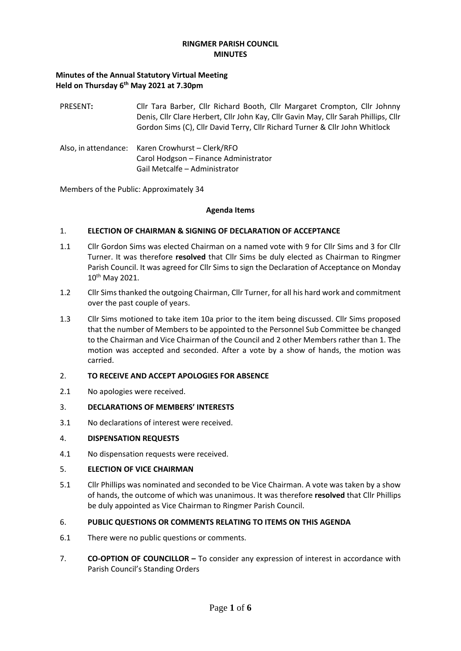#### **RINGMER PARISH COUNCIL MINUTES**

# **Minutes of the Annual Statutory Virtual Meeting Held on Thursday 6 th May 2021 at 7.30pm**

| PRESENT: | Cllr Tara Barber, Cllr Richard Booth, Cllr Margaret Crompton, Cllr Johnny<br>Denis, Cllr Clare Herbert, Cllr John Kay, Cllr Gavin May, Cllr Sarah Phillips, Cllr<br>Gordon Sims (C), Cllr David Terry, Cllr Richard Turner & Cllr John Whitlock |
|----------|-------------------------------------------------------------------------------------------------------------------------------------------------------------------------------------------------------------------------------------------------|
|          | Also, in attendance: Karen Crowhurst – Clerk/RFO<br>Carol Hodgson – Finance Administrator                                                                                                                                                       |

Members of the Public: Approximately 34

#### **Agenda Items**

#### 1. **ELECTION OF CHAIRMAN & SIGNING OF DECLARATION OF ACCEPTANCE**

Gail Metcalfe – Administrator

- 1.1 Cllr Gordon Sims was elected Chairman on a named vote with 9 for Cllr Sims and 3 for Cllr Turner. It was therefore **resolved** that Cllr Sims be duly elected as Chairman to Ringmer Parish Council. It was agreed for Cllr Sims to sign the Declaration of Acceptance on Monday 10th May 2021.
- 1.2 Cllr Sims thanked the outgoing Chairman, Cllr Turner, for all his hard work and commitment over the past couple of years.
- 1.3 Cllr Sims motioned to take item 10a prior to the item being discussed. Cllr Sims proposed that the number of Members to be appointed to the Personnel Sub Committee be changed to the Chairman and Vice Chairman of the Council and 2 other Members rather than 1. The motion was accepted and seconded. After a vote by a show of hands, the motion was carried.

#### 2. **TO RECEIVE AND ACCEPT APOLOGIES FOR ABSENCE**

2.1 No apologies were received.

#### 3. **DECLARATIONS OF MEMBERS' INTERESTS**

3.1 No declarations of interest were received.

#### 4. **DISPENSATION REQUESTS**

4.1 No dispensation requests were received.

#### 5. **ELECTION OF VICE CHAIRMAN**

5.1 Cllr Phillips was nominated and seconded to be Vice Chairman. A vote was taken by a show of hands, the outcome of which was unanimous. It was therefore **resolved** that Cllr Phillips be duly appointed as Vice Chairman to Ringmer Parish Council.

#### 6. **PUBLIC QUESTIONS OR COMMENTS RELATING TO ITEMS ON THIS AGENDA**

- 6.1 There were no public questions or comments.
- 7. **CO-OPTION OF COUNCILLOR –** To consider any expression of interest in accordance with Parish Council's Standing Orders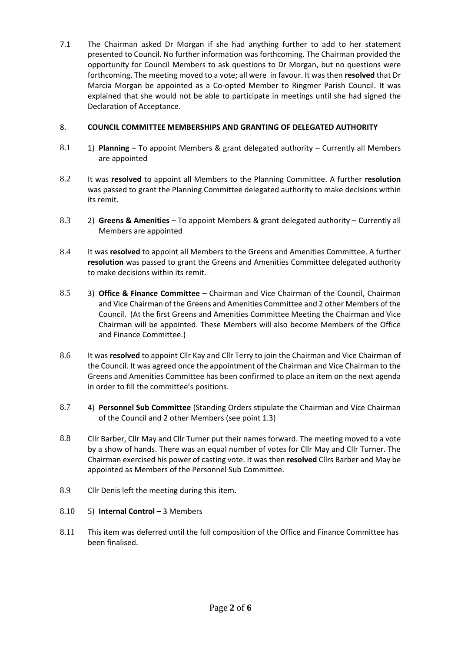7.1 The Chairman asked Dr Morgan if she had anything further to add to her statement presented to Council. No further information was forthcoming. The Chairman provided the opportunity for Council Members to ask questions to Dr Morgan, but no questions were forthcoming. The meeting moved to a vote; all were in favour. It was then **resolved** that Dr Marcia Morgan be appointed as a Co-opted Member to Ringmer Parish Council. It was explained that she would not be able to participate in meetings until she had signed the Declaration of Acceptance.

# 8. **COUNCIL COMMITTEE MEMBERSHIPS AND GRANTING OF DELEGATED AUTHORITY**

- 8.1 1) **Planning** To appoint Members & grant delegated authority Currently all Members are appointed
- 8.2 It was **resolved** to appoint all Members to the Planning Committee. A further **resolution**  was passed to grant the Planning Committee delegated authority to make decisions within its remit.
- 8.3 2) **Greens & Amenities** To appoint Members & grant delegated authority Currently all Members are appointed
- 8.4 It was **resolved** to appoint all Members to the Greens and Amenities Committee. A further **resolution** was passed to grant the Greens and Amenities Committee delegated authority to make decisions within its remit.
- 8.5 3) **Office & Finance Committee** Chairman and Vice Chairman of the Council, Chairman and Vice Chairman of the Greens and Amenities Committee and 2 other Members of the Council. (At the first Greens and Amenities Committee Meeting the Chairman and Vice Chairman will be appointed. These Members will also become Members of the Office and Finance Committee.)
- 8.6 It was **resolved** to appoint Cllr Kay and Cllr Terry to join the Chairman and Vice Chairman of the Council. It was agreed once the appointment of the Chairman and Vice Chairman to the Greens and Amenities Committee has been confirmed to place an item on the next agenda in order to fill the committee's positions.
- 8.7 4) **Personnel Sub Committee** (Standing Orders stipulate the Chairman and Vice Chairman of the Council and 2 other Members (see point 1.3)
- 8.8 Cllr Barber, Cllr May and Cllr Turner put their names forward. The meeting moved to a vote by a show of hands. There was an equal number of votes for Cllr May and Cllr Turner. The Chairman exercised his power of casting vote. It was then **resolved** Cllrs Barber and May be appointed as Members of the Personnel Sub Committee.
- 8.9 Cllr Denis left the meeting during this item.
- 8.10 5) **Internal Control** 3 Members
- 8.11 This item was deferred until the full composition of the Office and Finance Committee has been finalised.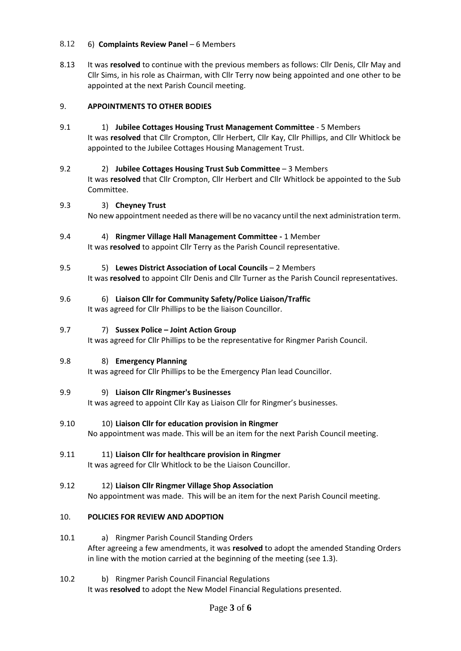# 8.12 6) **Complaints Review Panel** – 6 Members

8.13 It was **resolved** to continue with the previous members as follows: Cllr Denis, Cllr May and Cllr Sims, in his role as Chairman, with Cllr Terry now being appointed and one other to be appointed at the next Parish Council meeting.

# 9. **APPOINTMENTS TO OTHER BODIES**

- 9.1 1) **Jubilee Cottages Housing Trust Management Committee** 5 Members It was **resolved** that Cllr Crompton, Cllr Herbert, Cllr Kay, Cllr Phillips, and Cllr Whitlock be appointed to the Jubilee Cottages Housing Management Trust.
- 9.2 2) **Jubilee Cottages Housing Trust Sub Committee** 3 Members It was **resolved** that Cllr Crompton, Cllr Herbert and Cllr Whitlock be appointed to the Sub Committee.
- 9.3 3) **Cheyney Trust** No new appointment needed as there will be no vacancy until the next administration term.
- 9.4 4) **Ringmer Village Hall Management Committee -** 1 Member It was **resolved** to appoint Cllr Terry as the Parish Council representative.
- 9.5 5) **Lewes District Association of Local Councils** 2 Members It was **resolved** to appoint Cllr Denis and Cllr Turner as the Parish Council representatives.
- 9.6 6) **Liaison Cllr for Community Safety/Police Liaison/Traffic** It was agreed for Cllr Phillips to be the liaison Councillor.

# 9.7 7) **Sussex Police – Joint Action Group**

It was agreed for Cllr Phillips to be the representative for Ringmer Parish Council.

#### 9.8 8) **Emergency Planning**

It was agreed for Cllr Phillips to be the Emergency Plan lead Councillor.

#### 9.9 9) **Liaison Cllr Ringmer's Businesses**

It was agreed to appoint Cllr Kay as Liaison Cllr for Ringmer's businesses.

- 9.10 10) **Liaison Cllr for education provision in Ringmer** No appointment was made. This will be an item for the next Parish Council meeting.
- 9.11 11) **Liaison Cllr for healthcare provision in Ringmer** It was agreed for Cllr Whitlock to be the Liaison Councillor.
- 9.12 12) **Liaison Cllr Ringmer Village Shop Association** No appointment was made. This will be an item for the next Parish Council meeting.

#### 10. **POLICIES FOR REVIEW AND ADOPTION**

- 10.1 a) Ringmer Parish Council Standing Orders After agreeing a few amendments, it was **resolved** to adopt the amended Standing Orders in line with the motion carried at the beginning of the meeting (see 1.3).
- 10.2 b) Ringmer Parish Council Financial Regulations

It was **resolved** to adopt the New Model Financial Regulations presented.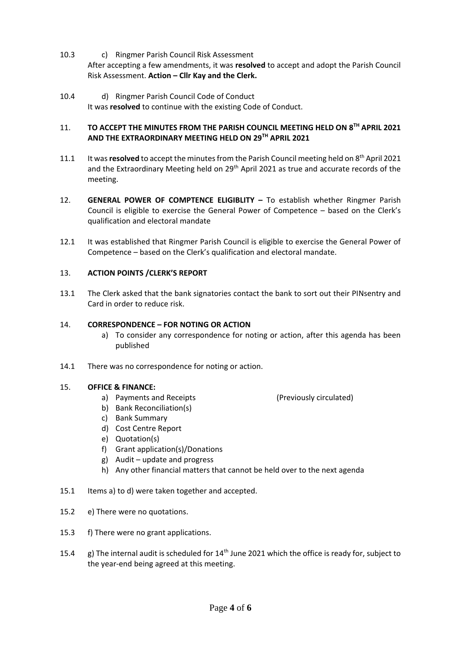- 10.3 c) Ringmer Parish Council Risk Assessment After accepting a few amendments, it was **resolved** to accept and adopt the Parish Council Risk Assessment. **Action – Cllr Kay and the Clerk.**
- 10.4 d) Ringmer Parish Council Code of Conduct It was **resolved** to continue with the existing Code of Conduct.

#### 11. **TO ACCEPT THE MINUTES FROM THE PARISH COUNCIL MEETING HELD ON 8 TH APRIL 2021 AND THE EXTRAORDINARY MEETING HELD ON 29TH APRIL 2021**

- 11.1 It was **resolved** to accept the minutes from the Parish Council meeting held on 8<sup>th</sup> April 2021 and the Extraordinary Meeting held on 29<sup>th</sup> April 2021 as true and accurate records of the meeting.
- 12. **GENERAL POWER OF COMPTENCE ELIGIBLITY –** To establish whether Ringmer Parish Council is eligible to exercise the General Power of Competence – based on the Clerk's qualification and electoral mandate
- 12.1 It was established that Ringmer Parish Council is eligible to exercise the General Power of Competence – based on the Clerk's qualification and electoral mandate.

# 13. **ACTION POINTS /CLERK'S REPORT**

13.1 The Clerk asked that the bank signatories contact the bank to sort out their PINsentry and Card in order to reduce risk.

#### 14. **CORRESPONDENCE – FOR NOTING OR ACTION**

- a) To consider any correspondence for noting or action, after this agenda has been published
- 14.1 There was no correspondence for noting or action.

#### 15. **OFFICE & FINANCE:**

- a) Payments and Receipts (Previously circulated)
- b) Bank Reconciliation(s)
- c) Bank Summary
- d) Cost Centre Report
- e) Quotation(s)
- f) Grant application(s)/Donations
- g) Audit update and progress
- h) Any other financial matters that cannot be held over to the next agenda
- 15.1 Items a) to d) were taken together and accepted.
- 15.2 e) There were no quotations.
- 15.3 f) There were no grant applications.
- 15.4 g) The internal audit is scheduled for  $14<sup>th</sup>$  June 2021 which the office is ready for, subject to the year-end being agreed at this meeting.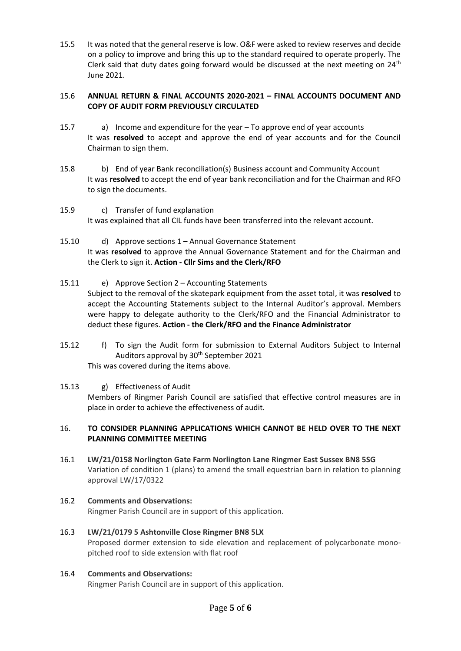15.5 It was noted that the general reserve is low. O&F were asked to review reserves and decide on a policy to improve and bring this up to the standard required to operate properly. The Clerk said that duty dates going forward would be discussed at the next meeting on  $24<sup>th</sup>$ June 2021.

# 15.6 **ANNUAL RETURN & FINAL ACCOUNTS 2020-2021 – FINAL ACCOUNTS DOCUMENT AND COPY OF AUDIT FORM PREVIOUSLY CIRCULATED**

- 15.7 a) Income and expenditure for the year To approve end of year accounts It was **resolved** to accept and approve the end of year accounts and for the Council Chairman to sign them.
- 15.8 b) End of year Bank reconciliation(s) Business account and Community Account It was **resolved** to accept the end of year bank reconciliation and for the Chairman and RFO to sign the documents.
- 15.9 c) Transfer of fund explanation It was explained that all CIL funds have been transferred into the relevant account.
- 15.10 d) Approve sections 1 Annual Governance Statement It was **resolved** to approve the Annual Governance Statement and for the Chairman and the Clerk to sign it. **Action - Cllr Sims and the Clerk/RFO**

# 15.11 e) Approve Section 2 – Accounting Statements

Subject to the removal of the skatepark equipment from the asset total, it was **resolved** to accept the Accounting Statements subject to the Internal Auditor's approval. Members were happy to delegate authority to the Clerk/RFO and the Financial Administrator to deduct these figures. **Action - the Clerk/RFO and the Finance Administrator**

15.12 f) To sign the Audit form for submission to External Auditors Subject to Internal Auditors approval by 30<sup>th</sup> September 2021 This was covered during the items above.

# 15.13 g) Effectiveness of Audit

Members of Ringmer Parish Council are satisfied that effective control measures are in place in order to achieve the effectiveness of audit.

# 16. **TO CONSIDER PLANNING APPLICATIONS WHICH CANNOT BE HELD OVER TO THE NEXT PLANNING COMMITTEE MEETING**

16.1 **LW/21/0158 Norlington Gate Farm Norlington Lane Ringmer East Sussex BN8 5SG** Variation of condition 1 (plans) to amend the small equestrian barn in relation to planning approval LW/17/0322

# 16.2 **Comments and Observations:**

Ringmer Parish Council are in support of this application.

# 16.3 **LW/21/0179 5 Ashtonville Close Ringmer BN8 5LX**

Proposed dormer extension to side elevation and replacement of polycarbonate monopitched roof to side extension with flat roof

# 16.4 **Comments and Observations:**

Ringmer Parish Council are in support of this application.